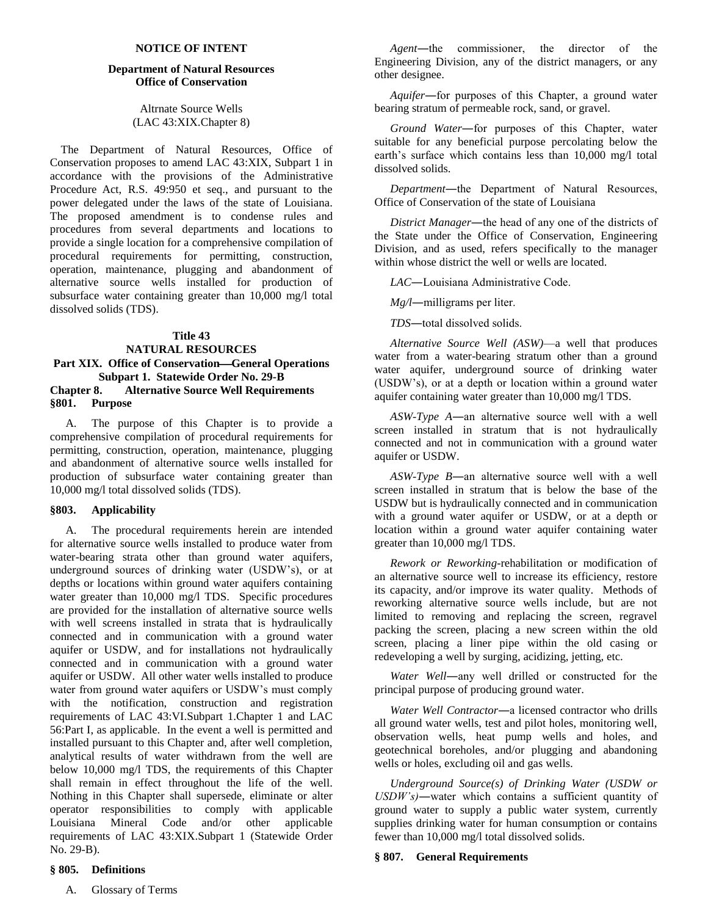#### **NOTICE OF INTENT**

#### **Department of Natural Resources Office of Conservation**

Altrnate Source Wells (LAC 43:XIX.Chapter 8)

The Department of Natural Resources, Office of Conservation proposes to amend LAC 43:XIX, Subpart 1 in accordance with the provisions of the Administrative Procedure Act, R.S. 49:950 et seq., and pursuant to the power delegated under the laws of the state of Louisiana. The proposed amendment is to condense rules and procedures from several departments and locations to provide a single location for a comprehensive compilation of procedural requirements for permitting, construction, operation, maintenance, plugging and abandonment of alternative source wells installed for production of subsurface water containing greater than 10,000 mg/l total dissolved solids (TDS).

#### **Title 43**

# **NATURAL RESOURCES** Part XIX. Office of Conservation—General Operations **Subpart 1. Statewide Order No. 29-B**

## **Chapter 8. Alternative Source Well Requirements §801. Purpose**

A. The purpose of this Chapter is to provide a comprehensive compilation of procedural requirements for permitting, construction, operation, maintenance, plugging and abandonment of alternative source wells installed for production of subsurface water containing greater than 10,000 mg/l total dissolved solids (TDS).

#### **§803. Applicability**

A. The procedural requirements herein are intended for alternative source wells installed to produce water from water-bearing strata other than ground water aquifers, underground sources of drinking water (USDW's), or at depths or locations within ground water aquifers containing water greater than 10,000 mg/l TDS. Specific procedures are provided for the installation of alternative source wells with well screens installed in strata that is hydraulically connected and in communication with a ground water aquifer or USDW, and for installations not hydraulically connected and in communication with a ground water aquifer or USDW. All other water wells installed to produce water from ground water aquifers or USDW's must comply with the notification, construction and registration requirements of LAC 43:VI.Subpart 1.Chapter 1 and LAC 56:Part I, as applicable. In the event a well is permitted and installed pursuant to this Chapter and, after well completion, analytical results of water withdrawn from the well are below 10,000 mg/l TDS, the requirements of this Chapter shall remain in effect throughout the life of the well. Nothing in this Chapter shall supersede, eliminate or alter operator responsibilities to comply with applicable Louisiana Mineral Code and/or other applicable requirements of LAC 43:XIX.Subpart 1 (Statewide Order No. 29-B).

## *Agent*―the commissioner, the director of the Engineering Division, any of the district managers, or any other designee.

*Aquifer*―for purposes of this Chapter, a ground water bearing stratum of permeable rock, sand, or gravel.

*Ground Water*―for purposes of this Chapter, water suitable for any beneficial purpose percolating below the earth's surface which contains less than 10,000 mg/l total dissolved solids.

*Department*―the Department of Natural Resources, Office of Conservation of the state of Louisiana

*District Manager*―the head of any one of the districts of the State under the Office of Conservation, Engineering Division, and as used, refers specifically to the manager within whose district the well or wells are located.

*LAC*―Louisiana Administrative Code.

*Mg/l*―milligrams per liter.

*TDS*―total dissolved solids.

*Alternative Source Well (ASW)*—a well that produces water from a water-bearing stratum other than a ground water aquifer, underground source of drinking water (USDW's), or at a depth or location within a ground water aquifer containing water greater than 10,000 mg/l TDS.

*ASW-Type A*―an alternative source well with a well screen installed in stratum that is not hydraulically connected and not in communication with a ground water aquifer or USDW.

*ASW-Type B*―an alternative source well with a well screen installed in stratum that is below the base of the USDW but is hydraulically connected and in communication with a ground water aquifer or USDW, or at a depth or location within a ground water aquifer containing water greater than 10,000 mg/l TDS.

*Rework or Reworking*-rehabilitation or modification of an alternative source well to increase its efficiency, restore its capacity, and/or improve its water quality. Methods of reworking alternative source wells include, but are not limited to removing and replacing the screen, regravel packing the screen, placing a new screen within the old screen, placing a liner pipe within the old casing or redeveloping a well by surging, acidizing, jetting, etc.

*Water Well*―any well drilled or constructed for the principal purpose of producing ground water.

*Water Well Contractor*―a licensed contractor who drills all ground water wells, test and pilot holes, monitoring well, observation wells, heat pump wells and holes, and geotechnical boreholes, and/or plugging and abandoning wells or holes, excluding oil and gas wells.

*Underground Source(s) of Drinking Water (USDW or USDW's)*―water which contains a sufficient quantity of ground water to supply a public water system, currently supplies drinking water for human consumption or contains fewer than 10,000 mg/l total dissolved solids.

#### **§ 807. General Requirements**

#### **§ 805. Definitions**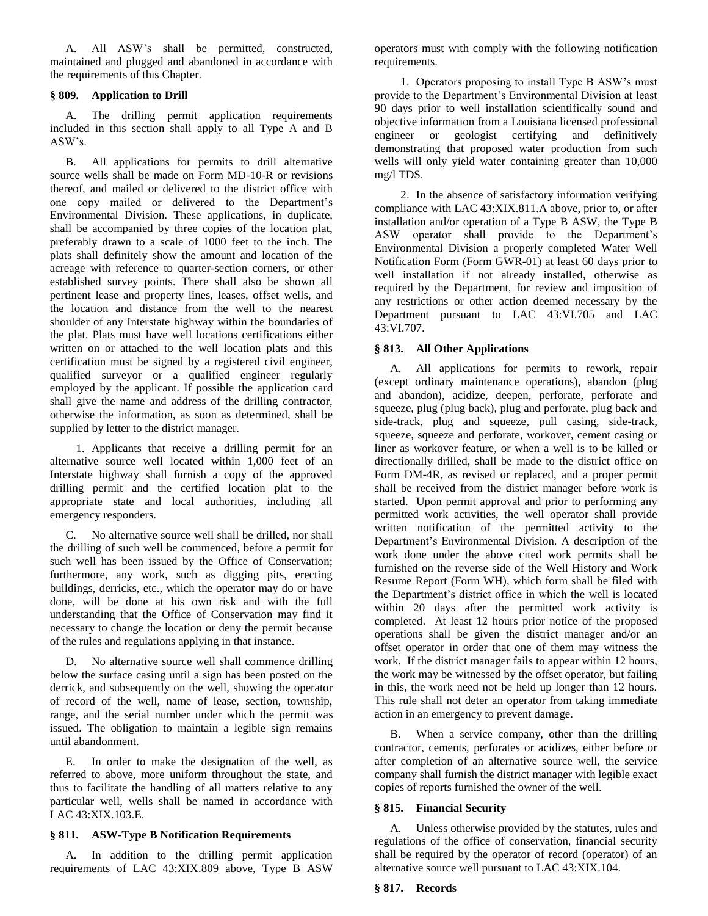A. All ASW's shall be permitted, constructed, maintained and plugged and abandoned in accordance with the requirements of this Chapter.

#### **§ 809. Application to Drill**

A. The drilling permit application requirements included in this section shall apply to all Type A and B ASW's.

B. All applications for permits to drill alternative source wells shall be made on Form MD-10-R or revisions thereof, and mailed or delivered to the district office with one copy mailed or delivered to the Department's Environmental Division. These applications, in duplicate, shall be accompanied by three copies of the location plat, preferably drawn to a scale of 1000 feet to the inch. The plats shall definitely show the amount and location of the acreage with reference to quarter-section corners, or other established survey points. There shall also be shown all pertinent lease and property lines, leases, offset wells, and the location and distance from the well to the nearest shoulder of any Interstate highway within the boundaries of the plat. Plats must have well locations certifications either written on or attached to the well location plats and this certification must be signed by a registered civil engineer, qualified surveyor or a qualified engineer regularly employed by the applicant. If possible the application card shall give the name and address of the drilling contractor, otherwise the information, as soon as determined, shall be supplied by letter to the district manager.

1. Applicants that receive a drilling permit for an alternative source well located within 1,000 feet of an Interstate highway shall furnish a copy of the approved drilling permit and the certified location plat to the appropriate state and local authorities, including all emergency responders.

C. No alternative source well shall be drilled, nor shall the drilling of such well be commenced, before a permit for such well has been issued by the Office of Conservation; furthermore, any work, such as digging pits, erecting buildings, derricks, etc., which the operator may do or have done, will be done at his own risk and with the full understanding that the Office of Conservation may find it necessary to change the location or deny the permit because of the rules and regulations applying in that instance.

D. No alternative source well shall commence drilling below the surface casing until a sign has been posted on the derrick, and subsequently on the well, showing the operator of record of the well, name of lease, section, township, range, and the serial number under which the permit was issued. The obligation to maintain a legible sign remains until abandonment.

E. In order to make the designation of the well, as referred to above, more uniform throughout the state, and thus to facilitate the handling of all matters relative to any particular well, wells shall be named in accordance with LAC 43:XIX.103.E.

### **§ 811. ASW-Type B Notification Requirements**

A. In addition to the drilling permit application requirements of LAC 43:XIX.809 above, Type B ASW operators must with comply with the following notification requirements.

1. Operators proposing to install Type B ASW's must provide to the Department's Environmental Division at least 90 days prior to well installation scientifically sound and objective information from a Louisiana licensed professional engineer or geologist certifying and definitively demonstrating that proposed water production from such wells will only yield water containing greater than 10,000 mg/l TDS.

2. In the absence of satisfactory information verifying compliance with LAC 43:XIX.811.A above, prior to, or after installation and/or operation of a Type B ASW, the Type B ASW operator shall provide to the Department's Environmental Division a properly completed Water Well Notification Form (Form GWR-01) at least 60 days prior to well installation if not already installed, otherwise as required by the Department, for review and imposition of any restrictions or other action deemed necessary by the Department pursuant to LAC 43:VI.705 and LAC 43:VI.707.

## **§ 813. All Other Applications**

A. All applications for permits to rework, repair (except ordinary maintenance operations), abandon (plug and abandon), acidize, deepen, perforate, perforate and squeeze, plug (plug back), plug and perforate, plug back and side-track, plug and squeeze, pull casing, side-track, squeeze, squeeze and perforate, workover, cement casing or liner as workover feature, or when a well is to be killed or directionally drilled, shall be made to the district office on Form DM-4R, as revised or replaced, and a proper permit shall be received from the district manager before work is started. Upon permit approval and prior to performing any permitted work activities, the well operator shall provide written notification of the permitted activity to the Department's Environmental Division. A description of the work done under the above cited work permits shall be furnished on the reverse side of the Well History and Work Resume Report (Form WH), which form shall be filed with the Department's district office in which the well is located within 20 days after the permitted work activity is completed. At least 12 hours prior notice of the proposed operations shall be given the district manager and/or an offset operator in order that one of them may witness the work. If the district manager fails to appear within 12 hours, the work may be witnessed by the offset operator, but failing in this, the work need not be held up longer than 12 hours. This rule shall not deter an operator from taking immediate action in an emergency to prevent damage.

B. When a service company, other than the drilling contractor, cements, perforates or acidizes, either before or after completion of an alternative source well, the service company shall furnish the district manager with legible exact copies of reports furnished the owner of the well.

#### **§ 815. Financial Security**

A. Unless otherwise provided by the statutes, rules and regulations of the office of conservation, financial security shall be required by the operator of record (operator) of an alternative source well pursuant to LAC 43:XIX.104.

#### **§ 817. Records**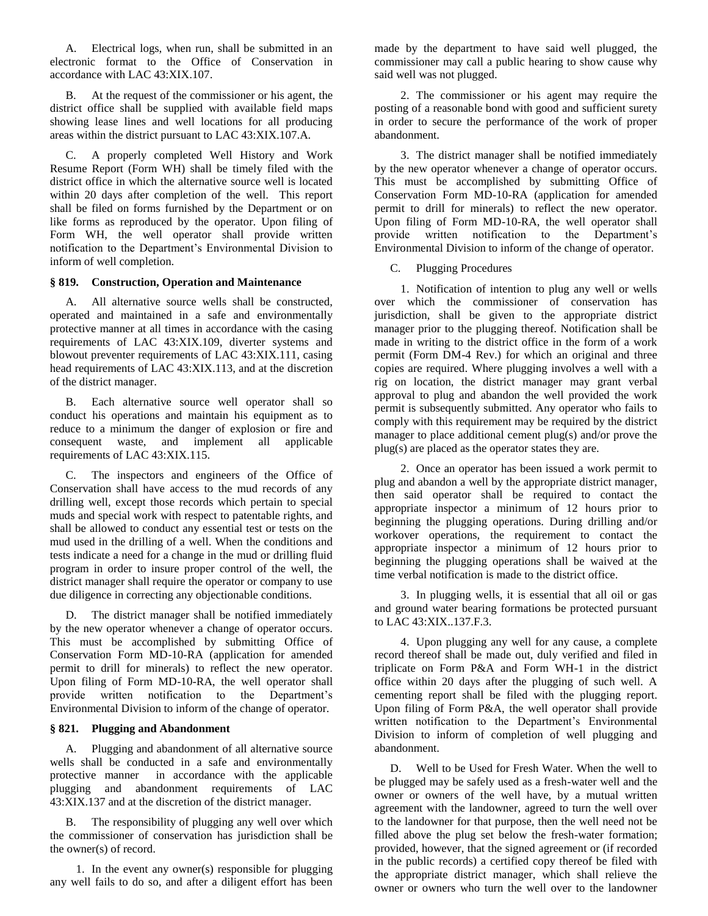A. Electrical logs, when run, shall be submitted in an electronic format to the Office of Conservation in accordance with LAC 43:XIX.107.

B. At the request of the commissioner or his agent, the district office shall be supplied with available field maps showing lease lines and well locations for all producing areas within the district pursuant to LAC 43:XIX.107.A.

C. A properly completed Well History and Work Resume Report (Form WH) shall be timely filed with the district office in which the alternative source well is located within 20 days after completion of the well. This report shall be filed on forms furnished by the Department or on like forms as reproduced by the operator. Upon filing of Form WH, the well operator shall provide written notification to the Department's Environmental Division to inform of well completion.

#### **§ 819. Construction, Operation and Maintenance**

A. All alternative source wells shall be constructed, operated and maintained in a safe and environmentally protective manner at all times in accordance with the casing requirements of LAC 43:XIX.109, diverter systems and blowout preventer requirements of LAC 43:XIX.111, casing head requirements of LAC 43:XIX.113, and at the discretion of the district manager.

B. Each alternative source well operator shall so conduct his operations and maintain his equipment as to reduce to a minimum the danger of explosion or fire and consequent waste, and implement all applicable requirements of LAC 43:XIX.115.

C. The inspectors and engineers of the Office of Conservation shall have access to the mud records of any drilling well, except those records which pertain to special muds and special work with respect to patentable rights, and shall be allowed to conduct any essential test or tests on the mud used in the drilling of a well. When the conditions and tests indicate a need for a change in the mud or drilling fluid program in order to insure proper control of the well, the district manager shall require the operator or company to use due diligence in correcting any objectionable conditions.

D. The district manager shall be notified immediately by the new operator whenever a change of operator occurs. This must be accomplished by submitting Office of Conservation Form MD-10-RA (application for amended permit to drill for minerals) to reflect the new operator. Upon filing of Form MD-10-RA, the well operator shall provide written notification to the Department's Environmental Division to inform of the change of operator.

## **§ 821. Plugging and Abandonment**

A. Plugging and abandonment of all alternative source wells shall be conducted in a safe and environmentally protective manner in accordance with the applicable plugging and abandonment requirements of LAC 43:XIX.137 and at the discretion of the district manager.

B. The responsibility of plugging any well over which the commissioner of conservation has jurisdiction shall be the owner(s) of record.

1. In the event any owner(s) responsible for plugging any well fails to do so, and after a diligent effort has been made by the department to have said well plugged, the commissioner may call a public hearing to show cause why said well was not plugged.

2. The commissioner or his agent may require the posting of a reasonable bond with good and sufficient surety in order to secure the performance of the work of proper abandonment.

3. The district manager shall be notified immediately by the new operator whenever a change of operator occurs. This must be accomplished by submitting Office of Conservation Form MD-10-RA (application for amended permit to drill for minerals) to reflect the new operator. Upon filing of Form MD-10-RA, the well operator shall provide written notification to the Department's Environmental Division to inform of the change of operator.

C. Plugging Procedures

1. Notification of intention to plug any well or wells over which the commissioner of conservation has jurisdiction, shall be given to the appropriate district manager prior to the plugging thereof. Notification shall be made in writing to the district office in the form of a work permit (Form DM-4 Rev.) for which an original and three copies are required. Where plugging involves a well with a rig on location, the district manager may grant verbal approval to plug and abandon the well provided the work permit is subsequently submitted. Any operator who fails to comply with this requirement may be required by the district manager to place additional cement plug(s) and/or prove the plug(s) are placed as the operator states they are.

2. Once an operator has been issued a work permit to plug and abandon a well by the appropriate district manager, then said operator shall be required to contact the appropriate inspector a minimum of 12 hours prior to beginning the plugging operations. During drilling and/or workover operations, the requirement to contact the appropriate inspector a minimum of 12 hours prior to beginning the plugging operations shall be waived at the time verbal notification is made to the district office.

3. In plugging wells, it is essential that all oil or gas and ground water bearing formations be protected pursuant to LAC 43:XIX..137.F.3.

4. Upon plugging any well for any cause, a complete record thereof shall be made out, duly verified and filed in triplicate on Form P&A and Form WH-1 in the district office within 20 days after the plugging of such well. A cementing report shall be filed with the plugging report. Upon filing of Form P&A, the well operator shall provide written notification to the Department's Environmental Division to inform of completion of well plugging and abandonment.

D. Well to be Used for Fresh Water. When the well to be plugged may be safely used as a fresh-water well and the owner or owners of the well have, by a mutual written agreement with the landowner, agreed to turn the well over to the landowner for that purpose, then the well need not be filled above the plug set below the fresh-water formation; provided, however, that the signed agreement or (if recorded in the public records) a certified copy thereof be filed with the appropriate district manager, which shall relieve the owner or owners who turn the well over to the landowner